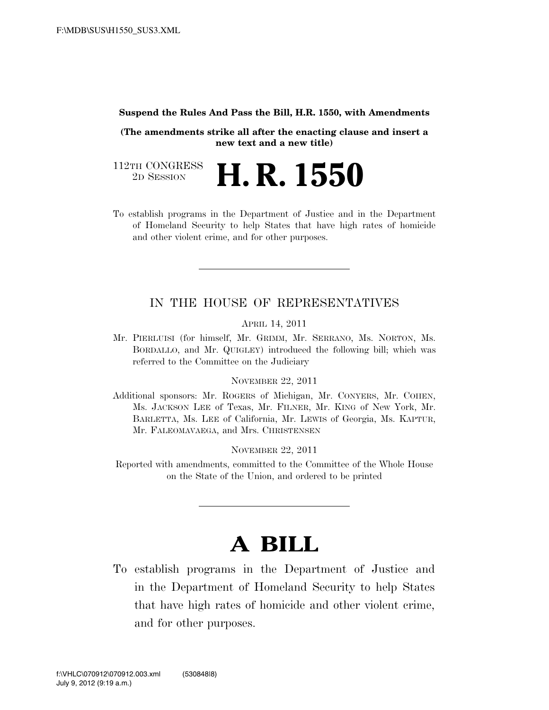#### **Suspend the Rules And Pass the Bill, H.R. 1550, with Amendments**

**(The amendments strike all after the enacting clause and insert a new text and a new title)** 

112TH CONGRESS<br>2D SESSION 2D SESSION **H. R. 1550** 

To establish programs in the Department of Justice and in the Department of Homeland Security to help States that have high rates of homicide and other violent crime, and for other purposes.

## IN THE HOUSE OF REPRESENTATIVES

APRIL 14, 2011

Mr. PIERLUISI (for himself, Mr. GRIMM, Mr. SERRANO, Ms. NORTON, Ms. BORDALLO, and Mr. QUIGLEY) introduced the following bill; which was referred to the Committee on the Judiciary

### NOVEMBER 22, 2011

Additional sponsors: Mr. ROGERS of Michigan, Mr. CONYERS, Mr. COHEN, Ms. JACKSON LEE of Texas, Mr. FILNER, Mr. KING of New York, Mr. BARLETTA, Ms. LEE of California, Mr. LEWIS of Georgia, Ms. KAPTUR, Mr. FALEOMAVAEGA, and Mrs. CHRISTENSEN

### NOVEMBER 22, 2011

Reported with amendments, committed to the Committee of the Whole House on the State of the Union, and ordered to be printed

# **A BILL**

To establish programs in the Department of Justice and in the Department of Homeland Security to help States that have high rates of homicide and other violent crime, and for other purposes.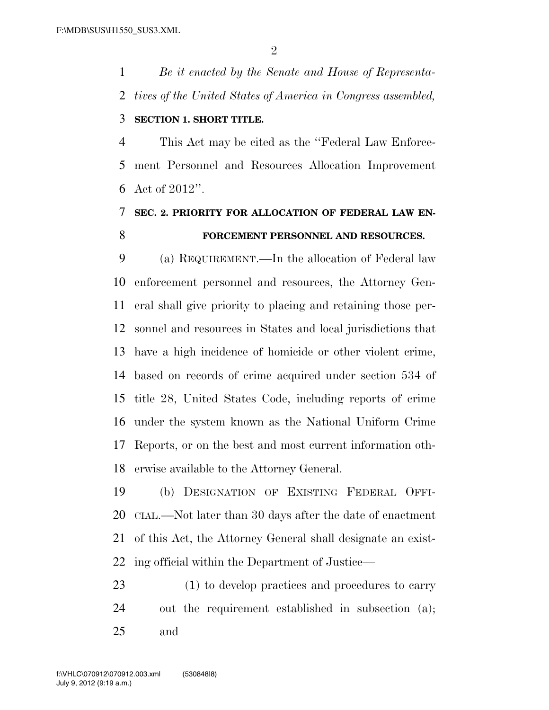*Be it enacted by the Senate and House of Representa-tives of the United States of America in Congress assembled,* 

## **SECTION 1. SHORT TITLE.**

 This Act may be cited as the ''Federal Law Enforce- ment Personnel and Resources Allocation Improvement Act of 2012''.

## **SEC. 2. PRIORITY FOR ALLOCATION OF FEDERAL LAW EN-FORCEMENT PERSONNEL AND RESOURCES.**

 (a) REQUIREMENT.—In the allocation of Federal law enforcement personnel and resources, the Attorney Gen- eral shall give priority to placing and retaining those per- sonnel and resources in States and local jurisdictions that have a high incidence of homicide or other violent crime, based on records of crime acquired under section 534 of title 28, United States Code, including reports of crime under the system known as the National Uniform Crime Reports, or on the best and most current information oth-erwise available to the Attorney General.

 (b) DESIGNATION OF EXISTING FEDERAL OFFI- CIAL.—Not later than 30 days after the date of enactment of this Act, the Attorney General shall designate an exist-ing official within the Department of Justice—

 (1) to develop practices and procedures to carry out the requirement established in subsection (a); and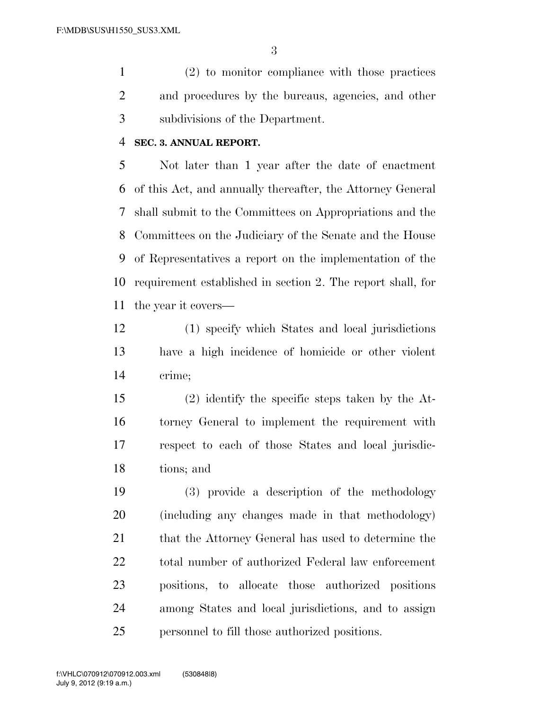(2) to monitor compliance with those practices and procedures by the bureaus, agencies, and other subdivisions of the Department.

### **SEC. 3. ANNUAL REPORT.**

 Not later than 1 year after the date of enactment of this Act, and annually thereafter, the Attorney General shall submit to the Committees on Appropriations and the Committees on the Judiciary of the Senate and the House of Representatives a report on the implementation of the requirement established in section 2. The report shall, for the year it covers—

 (1) specify which States and local jurisdictions have a high incidence of homicide or other violent crime;

 (2) identify the specific steps taken by the At- torney General to implement the requirement with respect to each of those States and local jurisdic-tions; and

 (3) provide a description of the methodology (including any changes made in that methodology) 21 that the Attorney General has used to determine the total number of authorized Federal law enforcement positions, to allocate those authorized positions among States and local jurisdictions, and to assign personnel to fill those authorized positions.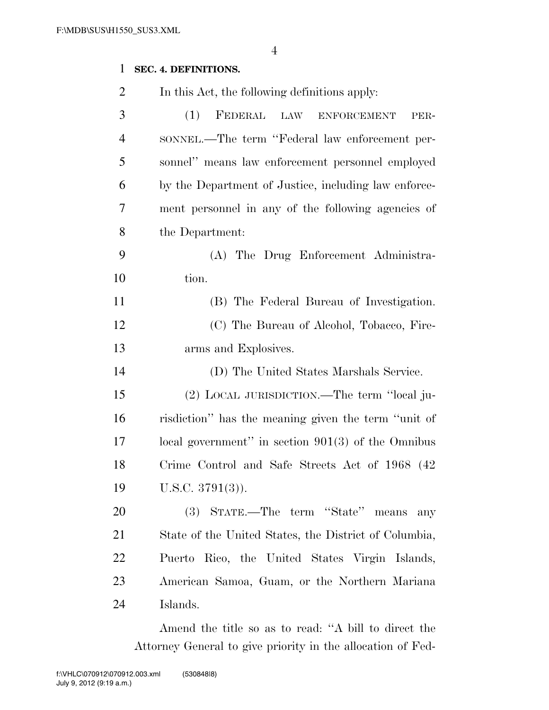## **SEC. 4. DEFINITIONS.**

| $\overline{2}$ | In this Act, the following definitions apply:         |
|----------------|-------------------------------------------------------|
| 3              | FEDERAL LAW ENFORCEMENT<br>(1)<br>PER-                |
| $\overline{4}$ | SONNEL.—The term "Federal law enforcement per-        |
| 5              | sonnel" means law enforcement personnel employed      |
| 6              | by the Department of Justice, including law enforce-  |
| 7              | ment personnel in any of the following agencies of    |
| 8              | the Department:                                       |
| 9              | (A) The Drug Enforcement Administra-                  |
| 10             | tion.                                                 |
| 11             | (B) The Federal Bureau of Investigation.              |
| 12             | (C) The Bureau of Alcohol, Tobacco, Fire-             |
| 13             | arms and Explosives.                                  |
| 14             | (D) The United States Marshals Service.               |
| 15             | (2) LOCAL JURISDICTION.—The term "local ju-           |
| 16             | risdiction" has the meaning given the term "unit of   |
| 17             | local government" in section $901(3)$ of the Omnibus  |
| 18             | Crime Control and Safe Streets Act of 1968 (42)       |
| 19             | U.S.C. $3791(3)$ ).                                   |
| 20             | (3) STATE.—The term "State" means<br>any              |
| 21             | State of the United States, the District of Columbia, |
| 22             | Puerto Rico, the United States Virgin Islands,        |
| 23             | American Samoa, Guam, or the Northern Mariana         |
| 24             | Islands.                                              |

Amend the title so as to read: ''A bill to direct the Attorney General to give priority in the allocation of Fed